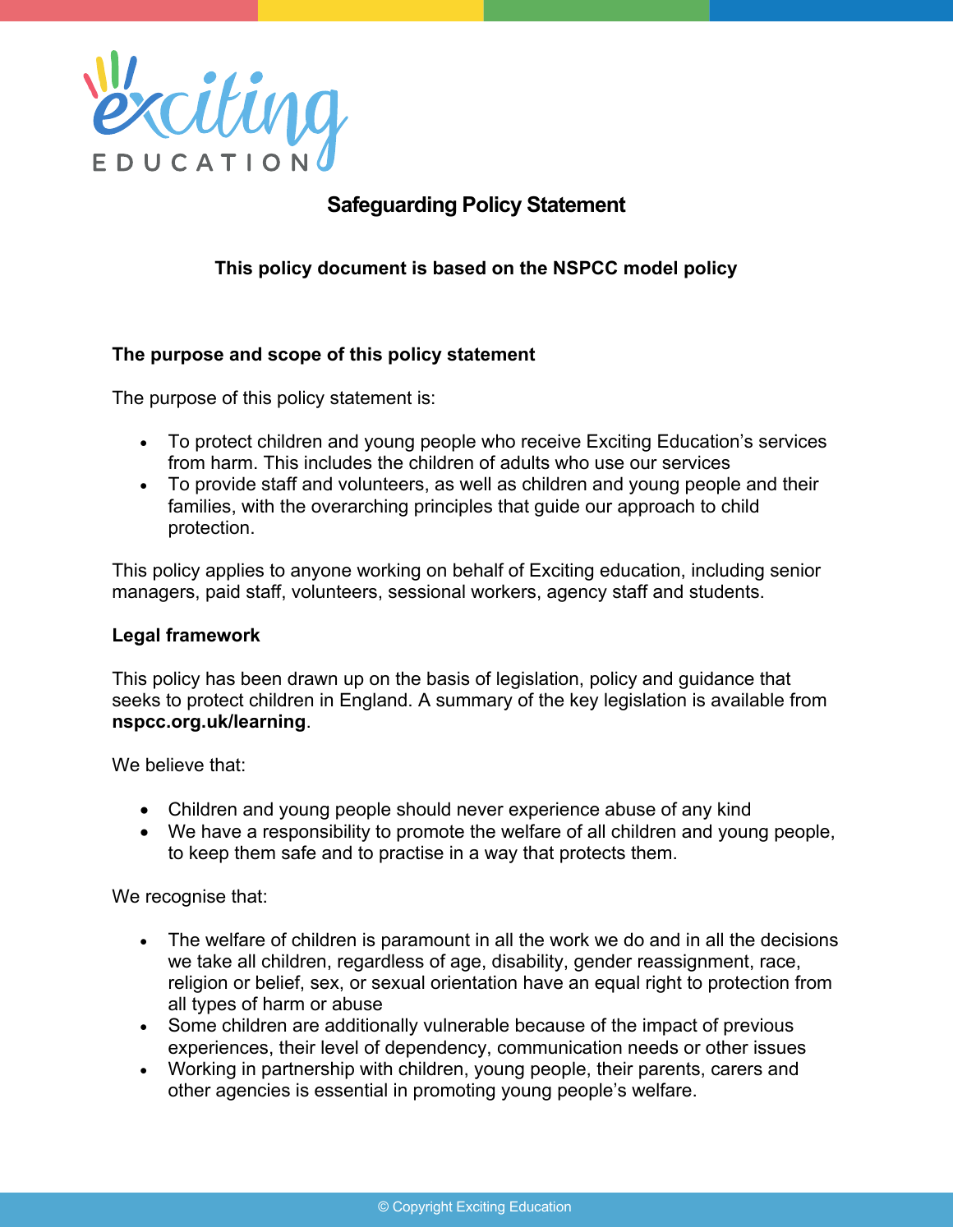

# **Safeguarding Policy Statement**

**This policy document is based on the NSPCC model policy**

#### **The purpose and scope of this policy statement**

The purpose of this policy statement is:

- To protect children and young people who receive Exciting Education's services from harm. This includes the children of adults who use our services
- To provide staff and volunteers, as well as children and young people and their families, with the overarching principles that guide our approach to child protection.

This policy applies to anyone working on behalf of Exciting education, including senior managers, paid staff, volunteers, sessional workers, agency staff and students.

#### **Legal framework**

This policy has been drawn up on the basis of legislation, policy and guidance that seeks to protect children in England. A summary of the key legislation is available from **nspcc.org.uk/learning**.

We believe that:

- Children and young people should never experience abuse of any kind
- We have a responsibility to promote the welfare of all children and young people, to keep them safe and to practise in a way that protects them.

We recognise that:

- The welfare of children is paramount in all the work we do and in all the decisions we take all children, regardless of age, disability, gender reassignment, race, religion or belief, sex, or sexual orientation have an equal right to protection from all types of harm or abuse
- Some children are additionally vulnerable because of the impact of previous experiences, their level of dependency, communication needs or other issues
- Working in partnership with children, young people, their parents, carers and other agencies is essential in promoting young people's welfare.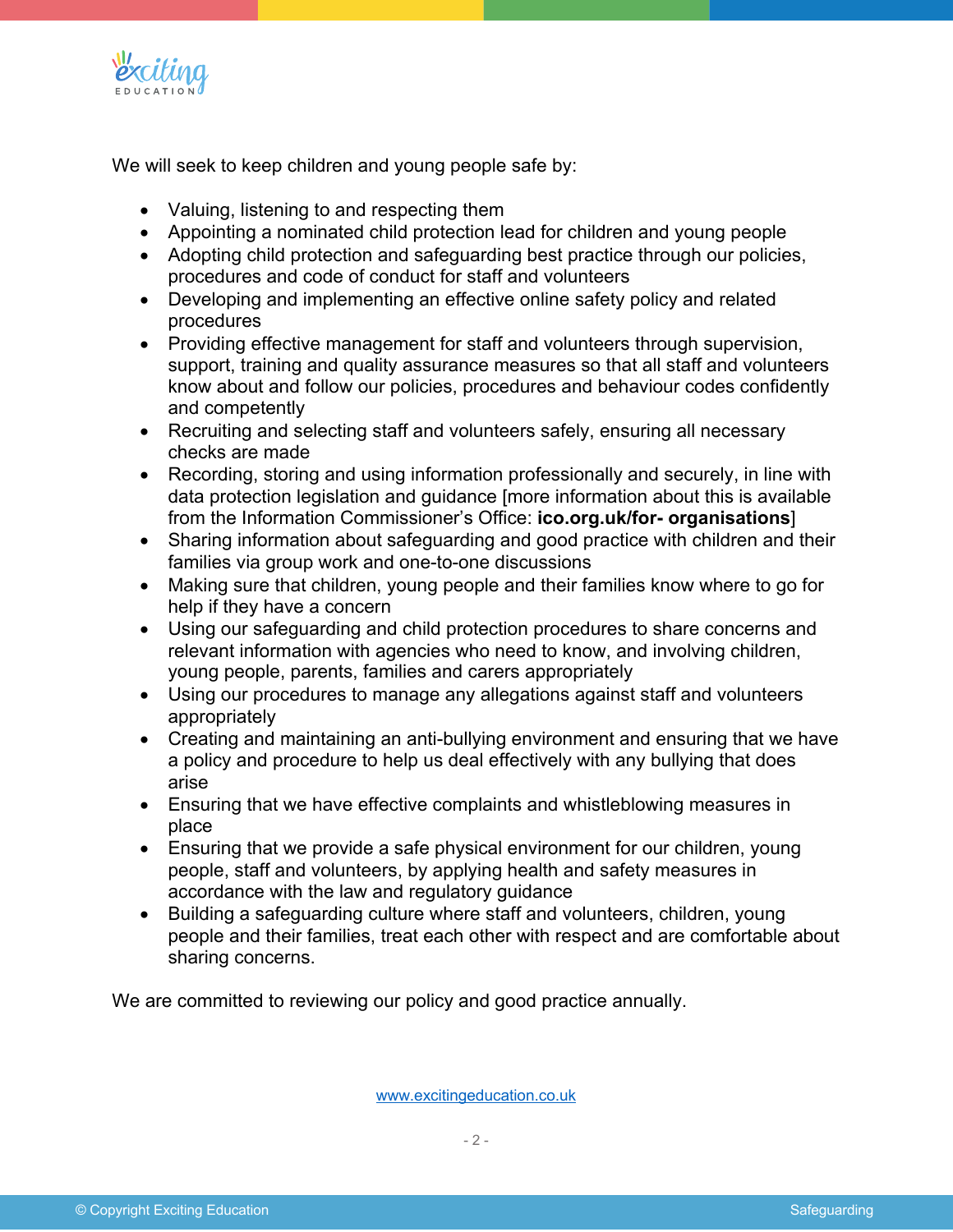

We will seek to keep children and young people safe by:

- Valuing, listening to and respecting them
- Appointing a nominated child protection lead for children and young people
- Adopting child protection and safeguarding best practice through our policies, procedures and code of conduct for staff and volunteers
- Developing and implementing an effective online safety policy and related procedures
- Providing effective management for staff and volunteers through supervision, support, training and quality assurance measures so that all staff and volunteers know about and follow our policies, procedures and behaviour codes confidently and competently
- Recruiting and selecting staff and volunteers safely, ensuring all necessary checks are made
- Recording, storing and using information professionally and securely, in line with data protection legislation and guidance [more information about this is available from the Information Commissioner's Office: **ico.org.uk/for- organisations**]
- Sharing information about safeguarding and good practice with children and their families via group work and one-to-one discussions
- Making sure that children, young people and their families know where to go for help if they have a concern
- Using our safeguarding and child protection procedures to share concerns and relevant information with agencies who need to know, and involving children, young people, parents, families and carers appropriately
- Using our procedures to manage any allegations against staff and volunteers appropriately
- Creating and maintaining an anti-bullying environment and ensuring that we have a policy and procedure to help us deal effectively with any bullying that does arise
- Ensuring that we have effective complaints and whistleblowing measures in place
- Ensuring that we provide a safe physical environment for our children, young people, staff and volunteers, by applying health and safety measures in accordance with the law and regulatory guidance
- Building a safeguarding culture where staff and volunteers, children, young people and their families, treat each other with respect and are comfortable about sharing concerns.

We are committed to reviewing our policy and good practice annually.

www.excitingeducation.co.uk